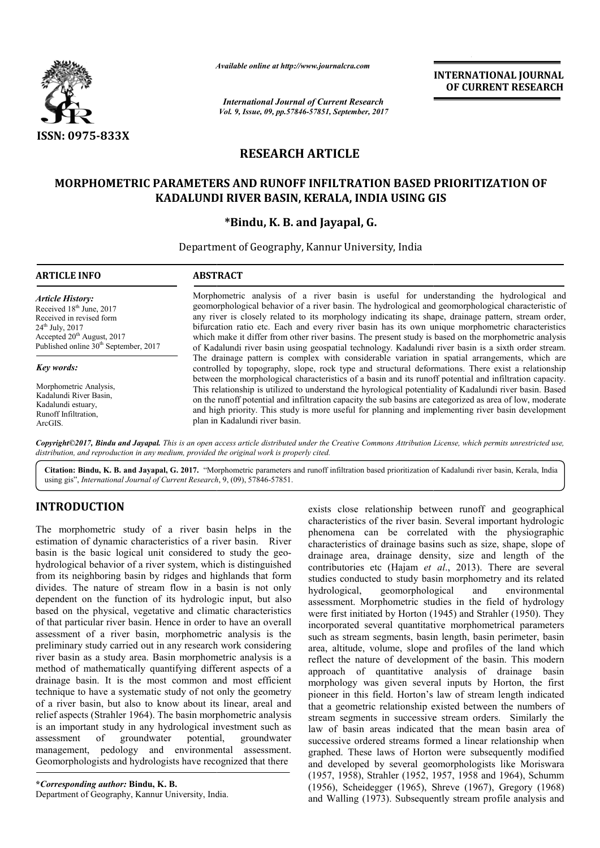

*Available online at http://www.journalcra.com*

*International Journal of Current Research Vol. 9, Issue, 09, pp.57846-57851, September, 2017* **INTERNATIONAL JOURNAL OF CURRENT RESEARCH**

# **RESEARCH ARTICLE**

# MORPHOMETRIC PARAMETERS AND RUNOFF INFILTRATION BASED PRIORITIZATION OF<br>KADALUNDI RIVER BASIN, KERALA, INDIA USING GIS **KADALUNDI RIVER BASIN, KERALA, INDIA USING GIS**

## **\*Bindu, K. B. and Jayapal, G.**

Department of Geography, Kannur University, India

| <b>ARTICLE INFO</b>                               | <b>ABSTRACT</b>                                                                                                                                                                                      |  |  |  |  |  |
|---------------------------------------------------|------------------------------------------------------------------------------------------------------------------------------------------------------------------------------------------------------|--|--|--|--|--|
| <b>Article History:</b>                           | Morphometric analysis of a river basin is useful for understanding the hydrological and                                                                                                              |  |  |  |  |  |
| Received 18 <sup>th</sup> June, 2017              | geomorphological behavior of a river basin. The hydrological and geomorphological characteristic of                                                                                                  |  |  |  |  |  |
| Received in revised form                          | any river is closely related to its morphology indicating its shape, drainage pattern, stream order,                                                                                                 |  |  |  |  |  |
| $24^{\text{th}}$ July, 2017                       | bifurcation ratio etc. Each and every river basin has its own unique morphometric characteristics                                                                                                    |  |  |  |  |  |
| Accepted $20th$ August, 2017                      | which make it differ from other river basins. The present study is based on the morphometric analysis                                                                                                |  |  |  |  |  |
| Published online 30 <sup>th</sup> September, 2017 | of Kadalundi river basin using geospatial technology. Kadalundi river basin is a sixth order stream.                                                                                                 |  |  |  |  |  |
| Key words:                                        | The drainage pattern is complex with considerable variation in spatial arrangements, which are<br>controlled by topography, slope, rock type and structural deformations. There exist a relationship |  |  |  |  |  |
| Morphometric Analysis.                            | between the morphological characteristics of a basin and its runoff potential and infiltration capacity.                                                                                             |  |  |  |  |  |
| Kadalundi River Basin,                            | This relationship is utilized to understand the hyrological potentiality of Kadalundi river basin. Based                                                                                             |  |  |  |  |  |
| Kadalundi estuary,                                | on the runoff potential and infiltration capacity the sub basins are categorized as area of low, moderate                                                                                            |  |  |  |  |  |
| Runoff Infiltration,                              | and high priority. This study is more useful for planning and implementing river basin development                                                                                                   |  |  |  |  |  |
| ArcGIS.                                           | plan in Kadalundi river basin.                                                                                                                                                                       |  |  |  |  |  |

Copyright©2017, Bindu and Jayapal. This is an open access article distributed under the Creative Commons Attribution License, which permits unrestricted use, *distribution, and reproduction in any medium, provided the original work is properly cited.*

Citation: Bindu, K. B. and Jayapal, G. 2017. "Morphometric parameters and runoff infiltration based prioritization of Kadalundi river basin, Kerala, India Citation: Bindu, K. B. and Jayapal, G. 2017. "Morphometric parameters<br>using gis", *International Journal of Current Research*, 9, (09), 57846-57851.

## **INTRODUCTION**

The morphometric study of a river basin helps in the estimation of dynamic characteristics of a river basin. River basin is the basic logical unit considered to study the geohydrological behavior of a river system, which is distinguished from its neighboring basin by ridges and highlands that form divides. The nature of stream flow in a basin is not only dependent on the function of its hydrologic input, but also based on the physical, vegetative and climatic characteristics of that particular river basin. Hence in order to have an overall assessment of a river basin, morphometric analysis is the preliminary study carried out in any research work considering river basin as a study area. Basin morphometric analysis is a method of mathematically quantifying different aspects of a drainage basin. It is the most common and most efficient technique to have a systematic study of not only the geometry of a river basin, but also to know about its linear, areal and relief aspects (Strahler 1964). The basin morphometric analysis is an important study in any hydrological investment such as<br>assessment of groundwater potential, groundwater assessment of groundwater potential, groundwater management, pedology and environmental assessment. Geomorphologists and hydrologists have recognized that there

**\****Corresponding author:* **Bindu, K. B.** Department of Geography, Kannur University, India. exists close relationship between runoff and geographical characteristics of the river basin. Several important hydrologic phenomena can be correlated with the physiographic characteristics of drainage basins such as size, shape, slope of drainage area, drainage density, size and length of the contributories etc (Hajam *et al.*, 2013). There are several studies conducted to study basin morphometry and its related hydrological, geomorphological and environmental studies conducted to study basin morphometry and its related<br>hydrological, geomorphological and environmental<br>assessment. Morphometric studies in the field of hydrology were first initiated by Horton (1945) and Strahler (1950). They incorporated several quantitative morphometrical parameters such as stream segments, basin length, basin perimeter, basin area, altitude, volume, slope and profiles of the land whic reflect the nature of development of the basin. This modern approach of quantitative analysis of drainage basin morphology was given several inputs by Horton, the first pioneer in this field. Horton's law of stream length indicated that a geometric relationship existed between the numbers of stream segments in successive stream orders. Similarly the law of basin areas indicated that the mean basin area of successive ordered streams formed a linear relationship when graphed. These laws of Horton were subs and developed by several geomorphologists like Moriswara (1957, 1958), Strahler (1952, 1957, 1958 and 1964), Schumm (1956), Scheidegger (1965), Shreve (1967), Gregory (1968) and Walling (1973). Subsequently stream profile analysis and the river basin. Several important hydrologic<br>be correlated with the physiographic<br>trainage basins such as size, shape, slope of<br>ainage density, size and length of the<br>(Hajam *et al.*, 2013). There are several by Horton (1945) and Strahler (1950). They<br>al quantitative morphometrical parameters<br>gments, basin length, basin perimeter, basin<br>ume, slope and profiles of the land which reflect the nature of development of the basin. This modern approach of quantitative analysis of drainage basin morphology was given several inputs by Horton, the first pioneer in this field. Horton's law of stream length **INTERNATIONAL JOURNAL CONSULTERIMATION CONSULTS (CONSULTS AND CONSULTS (CONSULTS) Systems (CONSULTS) Systems (CONSULTS) Systems (EXECUTS) Systems (EXECUTS) AND A USING GIS (I) THE INTERNATION BASED PRIORITIZATION OF CONS**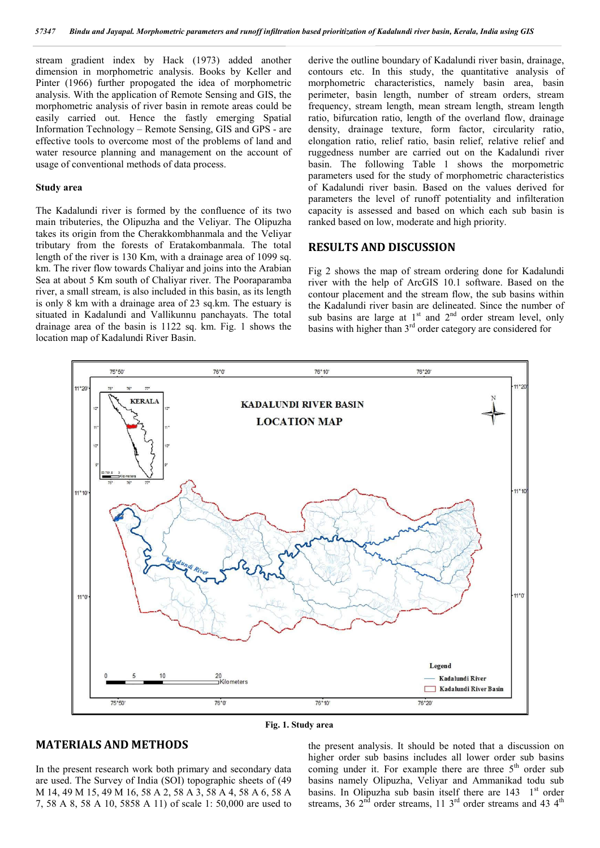stream gradient index by Hack (1973) added another dimension in morphometric analysis. Books by Keller and Pinter (1966) further propogated the idea of morphometric analysis. With the application of Remote Sensing and GIS, the morphometric analysis of river basin in remote areas could be easily carried out. Hence the fastly emerging Spatial Information Technology – Remote Sensing, GIS and GPS - are effective tools to overcome most of the problems of land and water resource planning and management on the account of usage of conventional methods of data process.

#### **Study area**

The Kadalundi river is formed by the confluence of its two main tributeries, the Olipuzha and the Veliyar. The Olipuzha takes its origin from the Cherakkombhanmala and the Veliyar tributary from the forests of Eratakombanmala. The total length of the river is 130 Km, with a drainage area of 1099 sq. km. The river flow towards Chaliyar and joins into the Arabian Sea at about 5 Km south of Chaliyar river. The Pooraparamba river, a small stream, is also included in this basin, as its length is only 8 km with a drainage area of 23 sq.km. The estuary is situated in Kadalundi and Vallikunnu panchayats. The total drainage area of the basin is 1122 sq. km. Fig. 1 shows the location map of Kadalundi River Basin.

derive the outline boundary of Kadalundi river basin, drainage, contours etc. In this study, the quantitative analysis of morphometric characteristics, namely basin area, basin perimeter, basin length, number of stream orders, stream frequency, stream length, mean stream length, stream length ratio, bifurcation ratio, length of the overland flow, drainage density, drainage texture, form factor, circularity ratio, elongation ratio, relief ratio, basin relief, relative relief and ruggedness number are carried out on the Kadalundi river basin. The following Table 1 shows the morpometric parameters used for the study of morphometric characteristics of Kadalundi river basin. Based on the values derived for parameters the level of runoff potentiality and infilteration capacity is assessed and based on which each sub basin is ranked based on low, moderate and high priority.

### **RESULTS AND DISCUSSION**

Fig 2 shows the map of stream ordering done for Kadalundi river with the help of ArcGIS 10.1 software. Based on the contour placement and the stream flow, the sub basins within the Kadalundi river basin are delineated. Since the number of sub basins are large at  $1<sup>st</sup>$  and  $2<sup>nd</sup>$  order stream level, only basins with higher than 3<sup>rd</sup> order category are considered for



**Fig. 1. Study area**

## **MATERIALS AND METHODS**

In the present research work both primary and secondary data are used. The Survey of India (SOI) topographic sheets of (49 M 14, 49 M 15, 49 M 16, 58 A 2, 58 A 3, 58 A 4, 58 A 6, 58 A 7, 58 A 8, 58 A 10, 5858 A 11) of scale 1: 50,000 are used to

the present analysis. It should be noted that a discussion on higher order sub basins includes all lower order sub basins coming under it. For example there are three  $5<sup>th</sup>$  order sub basins namely Olipuzha, Veliyar and Ammanikad todu sub basins. In Olipuzha sub basin itself there are  $143 \text{ } 1^{\text{st}}$  order streams, 36  $2<sup>nd</sup>$  order streams, 11  $3<sup>rd</sup>$  order streams and 43  $4<sup>th</sup>$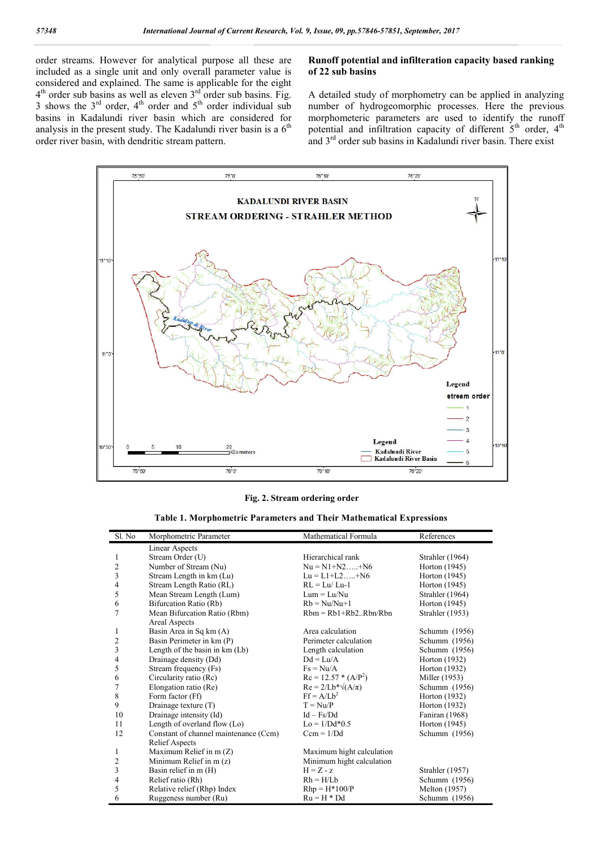order streams. However for analytical purpose all these are included as a single unit and only overall parameter value is considered and explained. The same is applicable for the eight  $4<sup>th</sup>$  order sub basins as well as eleven  $3<sup>rd</sup>$  order sub basins. Fig. 3 shows the  $3<sup>rd</sup>$  order,  $4<sup>th</sup>$  order and  $5<sup>th</sup>$  order individual sub basins in Kadalundi river basin which are considered for analysis in the present study. The Kadalundi river basin is a  $6<sup>th</sup>$ order river basin, with dendritic stream pattern.

### **Runoff potential and infilteration capacity based ranking of 22 sub basins**

A detailed study of morphometry can be applied in analyzing number of hydrogeomorphic processes. Here the previous morphometeric parameters are used to identify the runoff potential and infiltration capacity of different  $5<sup>th</sup>$  order,  $4<sup>th</sup>$ and  $3<sup>rd</sup>$  order sub basins in Kadalundi river basin. There exist



#### **Fig. 2. Stream ordering order**

| <b>Table 1. Morphometric Parameters and Their Mathematical Expressions</b> |  |  |
|----------------------------------------------------------------------------|--|--|
|----------------------------------------------------------------------------|--|--|

| Sl. No         | Morphometric Parameter                | Mathematical Formula            | References      |
|----------------|---------------------------------------|---------------------------------|-----------------|
|                | Linear Aspects                        |                                 |                 |
| 1              | Stream Order (U)                      | Hierarchical rank               | Strahler (1964) |
| $\overline{c}$ | Number of Stream (Nu)                 | $Nu = N1 + N2 \dots + N6$       | Horton (1945)   |
| 3              | Stream Length in km (Lu)              | $Lu = L1+L2+N6$                 | Horton (1945)   |
| 4              | Stream Length Ratio (RL)              | $RL = Lu/Lu-1$                  | Horton (1945)   |
| 5              | Mean Stream Length (Lum)              | $Lum = Lu/Nu$                   | Strahler (1964) |
| 6              | Bifurcation Ratio (Rb)                | $Rb = Nu/Nu+1$                  | Horton (1945)   |
| 7              | Mean Bifurcation Ratio (Rbm)          | $Rbm = Rb1 + Rb2 \dots Rbn/Rbn$ | Strahler (1953) |
|                | Areal Aspects                         |                                 |                 |
| 1              | Basin Area in Sq km (A)               | Area calculation                | Schumm (1956)   |
| $\mathfrak{2}$ | Basin Perimeter in km (P)             | Perimeter calculation           | Schumm (1956)   |
| 3              | Length of the basin in $km (Lb)$      | Length calculation              | Schumm (1956)   |
| $\overline{4}$ | Drainage density (Dd)                 | $Dd = Lu/A$                     | Horton (1932)   |
| 5              | Stream frequency (Fs)                 | $Fs = Nu/A$                     | Horton (1932)   |
| 6              | Circularity ratio (Rc)                | $Rc = 12.57 * (A/P2)$           | Miller (1953)   |
| 7              | Elongation ratio (Re)                 | $Re = 2/Lb^* \sqrt{(A/\pi)}$    | Schumm (1956)   |
| 8              | Form factor (Ff)                      | $Ff = A/Lb^2$                   | Horton (1932)   |
| 9              | Drainage texture (T)                  | $T = Nu/P$                      | Horton (1932)   |
| 10             | Drainage intensity (Id)               | $Id - Fs/Dd$                    | Faniran (1968)  |
| 11             | Length of overland flow $(L0)$        | $Lo = 1/Dd*0.5$                 | Horton (1945)   |
| 12             | Constant of channel maintenance (Ccm) | $Ccm = 1/Dd$                    | Schumm (1956)   |
|                | <b>Relief Aspects</b>                 |                                 |                 |
| 1              | Maximum Relief in $m(Z)$              | Maximum hight calculation       |                 |
| $\mathfrak{2}$ | Minimum Relief in m (z)               | Minimum hight calculation       |                 |
| 3              | Basin relief in m (H)                 | $H = Z - z$                     | Strahler (1957) |
| 4              | Relief ratio (Rh)                     | $Rh = H/Lb$                     | Schumm (1956)   |
| 5              | Relative relief (Rhp) Index           | $Rhp = H*100/P$                 | Melton (1957)   |
| 6              | Ruggeness number (Ru)                 | $Ru = H * Dd$                   | Schumm (1956)   |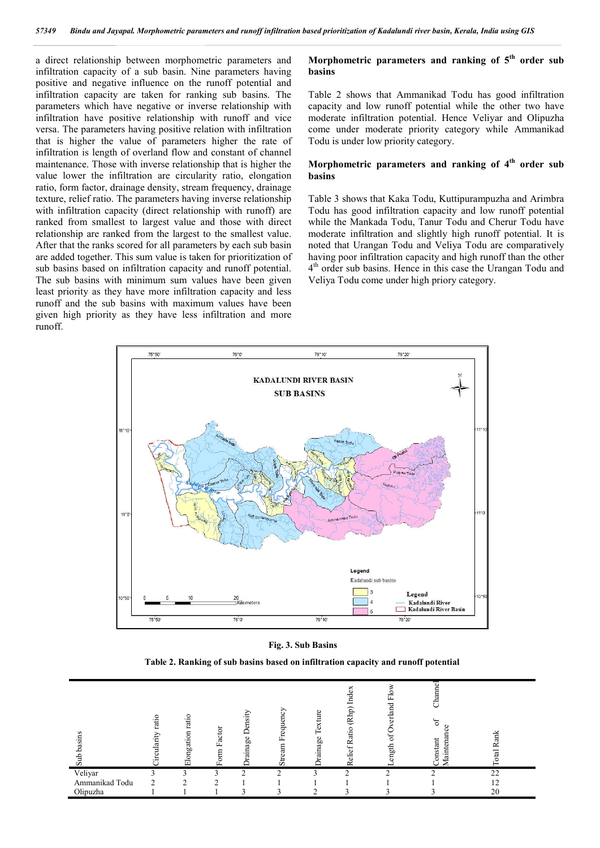a direct relationship between morphometric parameters and infiltration capacity of a sub basin. Nine parameters having positive and negative influence on the runoff potential and infiltration capacity are taken for ranking sub basins. The parameters which have negative or inverse relationship with infiltration have positive relationship with runoff and vice versa. The parameters having positive relation with infiltration that is higher the value of parameters higher the rate of infiltration is length of overland flow and constant of channel maintenance. Those with inverse relationship that is higher the value lower the infiltration are circularity ratio, elongation ratio, form factor, drainage density, stream frequency, drainage texture, relief ratio. The parameters having inverse relationship with infiltration capacity (direct relationship with runoff) are ranked from smallest to largest value and those with direct relationship are ranked from the largest to the smallest value. After that the ranks scored for all parameters by each sub basin are added together. This sum value is taken for prioritization of sub basins based on infiltration capacity and runoff potential. The sub basins with minimum sum values have been given least priority as they have more infiltration capacity and less runoff and the sub basins with maximum values have been given high priority as they have less infiltration and more runoff.

### **Morphometric parameters and ranking of 5th order sub basins**

Table 2 shows that Ammanikad Todu has good infiltration capacity and low runoff potential while the other two have moderate infiltration potential. Hence Veliyar and Olipuzha come under moderate priority category while Ammanikad Todu is under low priority category.

### **Morphometric parameters and ranking of 4th order sub basins**

Table 3 shows that Kaka Todu, Kuttipurampuzha and Arimbra Todu has good infiltration capacity and low runoff potential while the Mankada Todu, Tanur Todu and Cherur Todu have moderate infiltration and slightly high runoff potential. It is noted that Urangan Todu and Veliya Todu are comparatively having poor infiltration capacity and high runoff than the other  $4<sup>th</sup>$  order sub basins. Hence in this case the Urangan Todu and Veliya Todu come under high priory category.



**Fig. 3. Sub Basins**

**Table 2. Ranking of sub basins based on infiltration capacity and runoff potential**

| basins<br>Sub  | ratio<br>ularity | c<br>rati<br>Elongation | Factor<br>Form | Density<br>Drainage | E<br>Ē<br>8<br>ĹĽ.<br>$\mathbf{a}$<br>аr<br>$_{\rm sr}$ | exture<br>rainage | Index<br>(Rhp)<br>atio<br>Relief R | 旵<br>erland<br>ð<br>ength | ಕ<br>Channe<br>F<br>aintena<br>onstant | Rank<br><b>Jtal</b> |
|----------------|------------------|-------------------------|----------------|---------------------|---------------------------------------------------------|-------------------|------------------------------------|---------------------------|----------------------------------------|---------------------|
| Veliyar        |                  | ◠                       |                | $\sim$              | $\sim$                                                  |                   | ◠                                  | ◠                         |                                        | 22                  |
| Ammanikad Todu | ◠                | ◠                       | $\sim$         |                     |                                                         |                   |                                    |                           |                                        | 12                  |
| Olipuzha       |                  |                         |                |                     |                                                         |                   |                                    |                           |                                        | 20                  |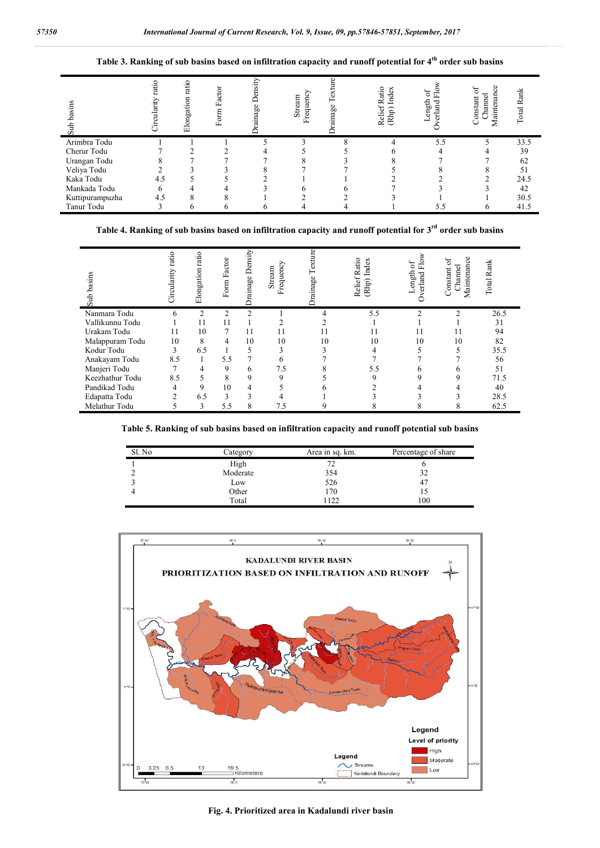## **Table 3. Ranking of sub basins based on infiltration capacity and runoff potential for 4th order sub basins**

| asins<br>Sub    | ratio<br>Circularity | ratio<br>Elongation | Form Factor | Density<br>rainage ] | requency<br>Stream<br>匞 | ഋ<br>Text<br>rainage | Relief Ratio<br>(Rhp) Index | 읎<br>F<br>ength<br>erland | Maintenance<br>đ<br>Channel<br>onstant | Total Rank |
|-----------------|----------------------|---------------------|-------------|----------------------|-------------------------|----------------------|-----------------------------|---------------------------|----------------------------------------|------------|
| Arimbra Todu    |                      |                     |             |                      |                         | Ō                    | 4                           | 5.5                       |                                        | 33.5       |
| Cherur Todu     |                      |                     |             |                      |                         |                      |                             |                           |                                        | 39         |
| Urangan Todu    |                      |                     |             |                      |                         |                      |                             |                           |                                        | 62         |
| Veliya Todu     |                      |                     |             |                      |                         |                      |                             |                           |                                        | 51         |
| Kaka Todu       | 4.5                  |                     |             |                      |                         |                      |                             |                           |                                        | 24.5       |
| Mankada Todu    | h                    |                     |             |                      |                         | n                    |                             |                           |                                        | 42         |
| Kuttipurampuzha | 4.5                  |                     | $\circ$     |                      |                         |                      |                             |                           |                                        | 30.5       |
| Tanur Todu      |                      | h                   |             |                      |                         | 4                    |                             | 5.5                       | n                                      | 41.5       |

# **Table 4. Ranking of sub basins based on infiltration capacity and runoff potential for 3rd order sub basins**

| basins<br>Sub   | ratio<br>Circularity | ratio<br>Elongation | Form Factor    | Density<br>Drainage 1 | Frequency<br>Stream | ഋ<br>Б<br>ainage | Ratio<br>Index<br>elief.<br>(Rhp)<br>≃ | 5<br>f۳.<br>ength<br>$_{\rm{c,rad}}$ | O)<br>c<br>Maintenan<br>Channel<br>Constant | Rank<br>Total |
|-----------------|----------------------|---------------------|----------------|-----------------------|---------------------|------------------|----------------------------------------|--------------------------------------|---------------------------------------------|---------------|
| Nanmara Todu    | h                    | C                   | $\overline{c}$ | $\overline{2}$        |                     | 4                | 5.5                                    | ↑                                    | ↑                                           | 26.5          |
| Vallikunnu Todu |                      | 11                  |                |                       |                     |                  |                                        |                                      |                                             | 31            |
| Urakam Todu     | 11                   | 10                  |                | 11                    | 11                  | 11               |                                        | 11                                   | 11                                          | 94            |
| Malappuram Todu | 10                   | 8                   | 4              | 10                    | 10                  | 10               | 10                                     | 10                                   | 10                                          | 82            |
| Kodur Todu      | 3                    | 6.5                 |                | 5                     |                     |                  |                                        |                                      |                                             | 35.5          |
| Anakayam Todu   | 8.5                  |                     | 5.5            | 7                     |                     |                  |                                        |                                      |                                             | 56            |
| Manjeri Todu    |                      | 4                   | 9              | 6                     | 7.5                 |                  | 5.5                                    |                                      |                                             | 51            |
| Keezhathur Todu | 8.5                  | 5                   | 8              | 9                     | Q                   |                  |                                        |                                      |                                             | 71.5          |
| Pandikad Todu   |                      | 9                   | 10             | 4                     |                     |                  |                                        |                                      |                                             | 40            |
| Edapatta Todu   | $\overline{2}$       | 6.5                 | 3              | 3                     |                     |                  |                                        |                                      |                                             | 28.5          |
| Melathur Todu   |                      | 3                   | 5.5            | 8                     | 7.5                 |                  |                                        |                                      | δ                                           | 62.5          |

**Table 5. Ranking of sub basins based on infiltration capacity and runoff potential sub basins**

| Sl. No | Category | Area in sq. km. | Percentage of share |
|--------|----------|-----------------|---------------------|
|        | High     |                 |                     |
|        | Moderate | 354             | 32                  |
|        | Low      | 526             | 47                  |
|        | Other    | l 70            |                     |
|        | Total    | 122             | 100                 |



**Fig. 4. Prioritized area in Kadalundi river basin**